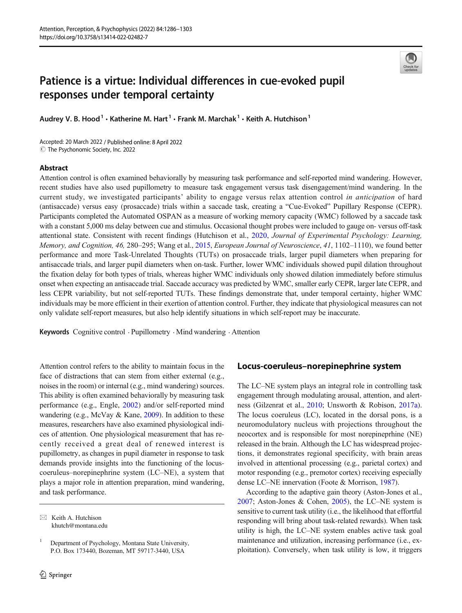# Patience is a virtue: Individual differences in cue-evoked pupil responses under temporal certainty

Audrey V. B. Hood<sup>1</sup>  $\cdot$  Katherine M. Hart<sup>1</sup>  $\cdot$  Frank M. Marchak<sup>1</sup>  $\cdot$  Keith A. Hutchison<sup>1</sup>

Accepted: 20 March 2022 / Published online: 8 April 2022  $\odot$  The Psychonomic Society, Inc. 2022

### Abstract

Attention control is often examined behaviorally by measuring task performance and self-reported mind wandering. However, recent studies have also used pupillometry to measure task engagement versus task disengagement/mind wandering. In the current study, we investigated participants' ability to engage versus relax attention control in anticipation of hard (antisaccade) versus easy (prosaccade) trials within a saccade task, creating a "Cue-Evoked" Pupillary Response (CEPR). Participants completed the Automated OSPAN as a measure of working memory capacity (WMC) followed by a saccade task with a constant 5,000 ms delay between cue and stimulus. Occasional thought probes were included to gauge on- versus off-task attentional state. Consistent with recent findings (Hutchison et al., [2020](#page-15-0), Journal of Experimental Psychology: Learning, Memory, and Cognition, 46, 280–295; Wang et al., [2015](#page-17-0), European Journal of Neuroscience, 41, 1102–1110), we found better performance and more Task-Unrelated Thoughts (TUTs) on prosaccade trials, larger pupil diameters when preparing for antisaccade trials, and larger pupil diameters when on-task. Further, lower WMC individuals showed pupil dilation throughout the fixation delay for both types of trials, whereas higher WMC individuals only showed dilation immediately before stimulus onset when expecting an antisaccade trial. Saccade accuracy was predicted by WMC, smaller early CEPR, larger late CEPR, and less CEPR variability, but not self-reported TUTs. These findings demonstrate that, under temporal certainty, higher WMC individuals may be more efficient in their exertion of attention control. Further, they indicate that physiological measures can not only validate self-report measures, but also help identify situations in which self-report may be inaccurate.

Keywords Cognitive control . Pupillometry . Mind wandering . Attention

Attention control refers to the ability to maintain focus in the face of distractions that can stem from either external (e.g., noises in the room) or internal (e.g., mind wandering) sources. This ability is often examined behaviorally by measuring task performance (e.g., Engle, [2002](#page-15-0)) and/or self-reported mind wandering (e.g., McVay & Kane, [2009](#page-16-0)). In addition to these measures, researchers have also examined physiological indices of attention. One physiological measurement that has recently received a great deal of renewed interest is pupillometry, as changes in pupil diameter in response to task demands provide insights into the functioning of the locuscoeruleus–norepinephrine system (LC–NE), a system that plays a major role in attention preparation, mind wandering, and task performance.

## Locus-coeruleus–norepinephrine system

The LC–NE system plays an integral role in controlling task engagement through modulating arousal, attention, and alertness (Gilzenrat et al., [2010;](#page-15-0) Unsworth & Robison, [2017a\)](#page-16-0). The locus coeruleus (LC), located in the dorsal pons, is a neuromodulatory nucleus with projections throughout the neocortex and is responsible for most norepineprhine (NE) released in the brain. Although the LC has widespread projections, it demonstrates regional specificity, with brain areas involved in attentional processing (e.g., parietal cortex) and motor responding (e.g., premotor cortex) receiving especially dense LC–NE innervation (Foote & Morrison, [1987](#page-15-0)).

According to the adaptive gain theory (Aston-Jones et al., [2007;](#page-15-0) Aston-Jones & Cohen, [2005](#page-15-0)), the LC–NE system is sensitive to current task utility (i.e., the likelihood that effortful responding will bring about task-related rewards). When task utility is high, the LC–NE system enables active task goal maintenance and utilization, increasing performance (i.e., exploitation). Conversely, when task utility is low, it triggers

 $\boxtimes$  Keith A. Hutchison [khutch@montana.edu](mailto:khutch@montana.edu)

<sup>&</sup>lt;sup>1</sup> Department of Psychology, Montana State University, P.O. Box 173440, Bozeman, MT 59717-3440, USA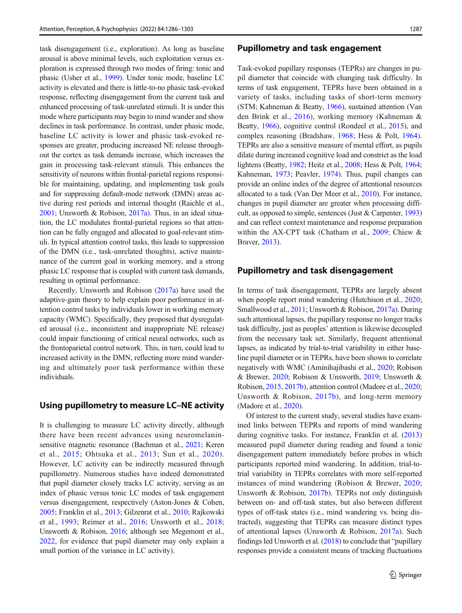task disengagement (i.e., exploration). As long as baseline arousal is above minimal levels, such exploitation versus exploration is expressed through two modes of firing: tonic and phasic (Usher et al., [1999](#page-17-0)). Under tonic mode, baseline LC activity is elevated and there is little-to-no phasic task-evoked response, reflecting disengagement from the current task and enhanced processing of task-unrelated stimuli. It is under this mode where participants may begin to mind wander and show declines in task performance. In contrast, under phasic mode, baseline LC activity is lower and phasic task-evoked responses are greater, producing increased NE release throughout the cortex as task demands increase, which increases the gain in processing task-relevant stimuli. This enhances the sensitivity of neurons within frontal-parietal regions responsible for maintaining, updating, and implementing task goals and for suppressing default-mode network (DMN) areas active during rest periods and internal thought (Raichle et al., [2001;](#page-16-0) Unsworth & Robison, [2017a\)](#page-16-0). Thus, in an ideal situation, the LC modulates frontal-parietal regions so that attention can be fully engaged and allocated to goal-relevant stimuli. In typical attention control tasks, this leads to suppression of the DMN (i.e., task-unrelated thoughts), active maintenance of the current goal in working memory, and a strong phasic LC response that is coupled with current task demands, resulting in optimal performance.

Recently, Unsworth and Robison ([2017a\)](#page-16-0) have used the adaptive-gain theory to help explain poor performance in attention control tasks by individuals lower in working memory capacity (WMC). Specifically, they proposed that dysregulated arousal (i.e., inconsistent and inappropriate NE release) could impair functioning of critical neural networks, such as the frontoparietal control network. This, in turn, could lead to increased activity in the DMN, reflecting more mind wandering and ultimately poor task performance within these individuals.

### Using pupillometry to measure LC–NE activity

It is challenging to measure LC activity directly, although there have been recent advances using neuromelaninsensitive magnetic resonance (Bachman et al., [2021](#page-15-0); Keren et al., [2015;](#page-15-0) Ohtsuka et al., [2013;](#page-16-0) Sun et al., [2020\)](#page-16-0). However, LC activity can be indirectly measured through pupillometry. Numerous studies have indeed demonstrated that pupil diameter closely tracks LC activity, serving as an index of phasic versus tonic LC modes of task engagement versus disengagement, respectively (Aston-Jones & Cohen, [2005;](#page-15-0) Franklin et al., [2013;](#page-15-0) Gilzenrat et al., [2010](#page-15-0); Rajkowski et al., [1993](#page-16-0); Reimer et al., [2016;](#page-16-0) Unsworth et al., [2018](#page-17-0); Unsworth & Robison, [2016;](#page-16-0) although see Megemont et al., [2022,](#page-16-0) for evidence that pupil diameter may only explain a small portion of the variance in LC activity).

### Pupillometry and task engagement

Task-evoked pupillary responses (TEPRs) are changes in pupil diameter that coincide with changing task difficulty. In terms of task engagement, TEPRs have been obtained in a variety of tasks, including tasks of short-term memory (STM; Kahneman & Beatty, [1966\)](#page-15-0), sustained attention (Van den Brink et al., [2016](#page-17-0)), working memory (Kahneman & Beatty, [1966\)](#page-15-0), cognitive control (Rondeel et al., [2015\)](#page-16-0), and complex reasoning (Bradshaw, [1968](#page-15-0); Hess & Polt, [1964\)](#page-15-0). TEPRs are also a sensitive measure of mental effort, as pupils dilate during increased cognitive load and constrict as the load lightens (Beatty, [1982](#page-15-0); Heitz et al., [2008](#page-15-0); Hess & Polt, [1964;](#page-15-0) Kahneman, [1973;](#page-15-0) Peavler, [1974](#page-16-0)). Thus, pupil changes can provide an online index of the degree of attentional resources allocated to a task (Van Der Meer et al., [2010\)](#page-17-0). For instance, changes in pupil diameter are greater when processing difficult, as opposed to simple, sentences (Just & Carpenter, [1993](#page-15-0)) and can reflect context maintenance and response preparation within the AX-CPT task (Chatham et al., [2009](#page-15-0); Chiew & Braver, [2013](#page-15-0)).

### Pupillometry and task disengagement

In terms of task disengagement, TEPRs are largely absent when people report mind wandering (Hutchison et al., [2020;](#page-15-0) Smallwood et al., [2011](#page-16-0); Unsworth & Robison, [2017a](#page-16-0)). During such attentional lapses, the pupillary response no longer tracks task difficulty, just as peoples' attention is likewise decoupled from the necessary task set. Similarly, frequent attentional lapses, as indicated by trial-to-trial variability in either baseline pupil diameter or in TEPRs, have been shown to correlate negatively with WMC (Aminihajibashi et al., [2020](#page-15-0); Robison & Brewer, [2020](#page-16-0); Robison & Unsworth, [2019;](#page-16-0) Unsworth & Robison, [2015,](#page-16-0) [2017b\)](#page-17-0), attention control (Madore et al., [2020;](#page-16-0) Unsworth & Robison, [2017b](#page-17-0)), and long-term memory (Madore et al., [2020\)](#page-16-0).

Of interest to the current study, several studies have examined links between TEPRs and reports of mind wandering during cognitive tasks. For instance, Franklin et al. [\(2013](#page-15-0)) measured pupil diameter during reading and found a tonic disengagement pattern immediately before probes in which participants reported mind wandering. In addition, trial-totrial variability in TEPRs correlates with more self-reported instances of mind wandering (Robison & Brewer, [2020;](#page-16-0) Unsworth & Robison, [2017b](#page-17-0)). TEPRs not only distinguish between on- and off-task states, but also between different types of off-task states (i.e., mind wandering vs. being distracted), suggesting that TEPRs can measure distinct types of attentional lapses (Unsworth & Robison, [2017a\)](#page-16-0). Such findings led Unsworth et al. [\(2018\)](#page-17-0) to conclude that "pupillary responses provide a consistent means of tracking fluctuations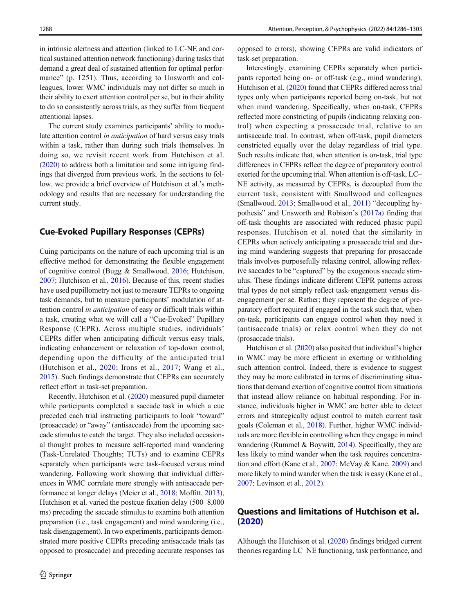in intrinsic alertness and attention (linked to LC-NE and cortical sustained attention network functioning) during tasks that demand a great deal of sustained attention for optimal performance" (p. 1251). Thus, according to Unsworth and colleagues, lower WMC individuals may not differ so much in their ability to exert attention control per se, but in their ability to do so consistently across trials, as they suffer from frequent attentional lapses.

The current study examines participants' ability to modulate attention control in anticipation of hard versus easy trials within a task, rather than during such trials themselves. In doing so, we revisit recent work from Hutchison et al. [\(2020\)](#page-15-0) to address both a limitation and some intriguing findings that diverged from previous work. In the sections to follow, we provide a brief overview of Hutchison et al.'s methodology and results that are necessary for understanding the current study.

### Cue-Evoked Pupillary Responses (CEPRs)

Cuing participants on the nature of each upcoming trial is an effective method for demonstrating the flexible engagement of cognitive control (Bugg & Smallwood, [2016;](#page-15-0) Hutchison, [2007;](#page-15-0) Hutchison et al., [2016\)](#page-15-0). Because of this, recent studies have used pupillometry not just to measure TEPRs to ongoing task demands, but to measure participants' modulation of attention control in anticipation of easy or difficult trials within a task, creating what we will call a "Cue-Evoked" Pupillary Response (CEPR). Across multiple studies, individuals' CEPRs differ when anticipating difficult versus easy trials, indicating enhancement or relaxation of top-down control, depending upon the difficulty of the anticipated trial (Hutchison et al., [2020](#page-15-0); Irons et al., [2017](#page-15-0); Wang et al., [2015\)](#page-17-0). Such findings demonstrate that CEPRs can accurately reflect effort in task-set preparation.

Recently, Hutchison et al. [\(2020\)](#page-15-0) measured pupil diameter while participants completed a saccade task in which a cue preceded each trial instructing participants to look "toward" (prosaccade) or "away" (antisaccade) from the upcoming saccade stimulus to catch the target. They also included occasional thought probes to measure self-reported mind wandering (Task-Unrelated Thoughts; TUTs) and to examine CEPRs separately when participants were task-focused versus mind wandering. Following work showing that individual differences in WMC correlate more strongly with antisaccade performance at longer delays (Meier et al., [2018](#page-16-0); Moffitt, [2013\)](#page-16-0), Hutchison et al. varied the postcue fixation delay (500–8,000 ms) preceding the saccade stimulus to examine both attention preparation (i.e., task engagement) and mind wandering (i.e., task disengagement). In two experiments, participants demonstrated more positive CEPRs preceding antisaccade trials (as opposed to prosaccade) and preceding accurate responses (as opposed to errors), showing CEPRs are valid indicators of task-set preparation.

Interestingly, examining CEPRs separately when participants reported being on- or off-task (e.g., mind wandering), Hutchison et al. [\(2020\)](#page-15-0) found that CEPRs differed across trial types only when participants reported being on-task, but not when mind wandering. Specifically, when on-task, CEPRs reflected more constricting of pupils (indicating relaxing control) when expecting a prosaccade trial, relative to an antisaccade trial. In contrast, when off-task, pupil diameters constricted equally over the delay regardless of trial type. Such results indicate that, when attention is on-task, trial type differences in CEPRs reflect the degree of preparatory control exerted for the upcoming trial. When attention is off-task, LC– NE activity, as measured by CEPRs, is decoupled from the current task, consistent with Smallwood and colleagues (Smallwood, [2013](#page-16-0); Smallwood et al., [2011\)](#page-16-0) "decoupling hypothesis" and Unsworth and Robison's [\(2017a\)](#page-16-0) finding that off-task thoughts are associated with reduced phasic pupil responses. Hutchison et al. noted that the similarity in CEPRs when actively anticipating a prosaccade trial and during mind wandering suggests that preparing for prosaccade trials involves purposefully relaxing control, allowing reflexive saccades to be "captured" by the exogenous saccade stimulus. These findings indicate different CEPR patterns across trial types do not simply reflect task-engagement versus disengagement per se. Rather; they represent the degree of preparatory effort required if engaged in the task such that, when on-task, participants can engage control when they need it (antisaccade trials) or relax control when they do not (prosaccade trials).

Hutchison et al. ([2020](#page-15-0)) also posited that individual's higher in WMC may be more efficient in exerting or withholding such attention control. Indeed, there is evidence to suggest they may be more calibrated in terms of discriminating situations that demand exertion of cognitive control from situations that instead allow reliance on habitual responding. For instance, individuals higher in WMC are better able to detect errors and strategically adjust control to match current task goals (Coleman et al., [2018\)](#page-15-0). Further, higher WMC individuals are more flexible in controlling when they engage in mind wandering (Rummel & Boywitt, [2014\)](#page-16-0). Specifically, they are less likely to mind wander when the task requires concentration and effort (Kane et al., [2007;](#page-15-0) McVay & Kane, [2009\)](#page-16-0) and more likely to mind wander when the task is easy (Kane et al., [2007;](#page-15-0) Levinson et al., [2012](#page-16-0)).

### Questions and limitations of Hutchison et al. ([2020\)](#page-15-0)

Although the Hutchison et al. ([2020](#page-15-0)) findings bridged current theories regarding LC–NE functioning, task performance, and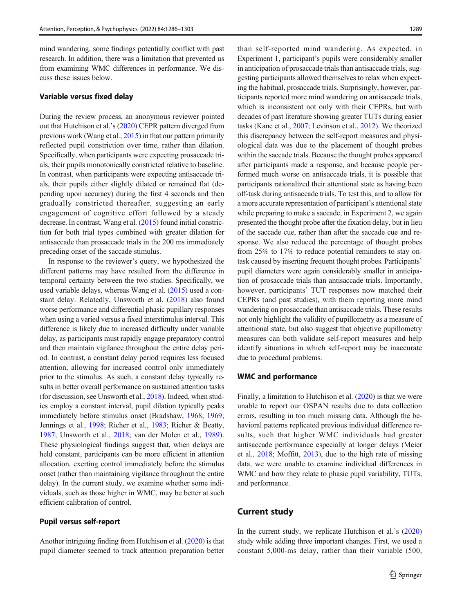mind wandering, some findings potentially conflict with past research. In addition, there was a limitation that prevented us from examining WMC differences in performance. We discuss these issues below.

### Variable versus fixed delay

During the review process, an anonymous reviewer pointed out that Hutchison et al.'s [\(2020\)](#page-15-0) CEPR pattern diverged from previous work (Wang et al., [2015\)](#page-17-0) in that our pattern primarily reflected pupil constriction over time, rather than dilation. Specifically, when participants were expecting prosaccade trials, their pupils monotonically constricted relative to baseline. In contrast, when participants were expecting antisaccade trials, their pupils either slightly dilated or remained flat (depending upon accuracy) during the first 4 seconds and then gradually constricted thereafter, suggesting an early engagement of cognitive effort followed by a steady decrease. In contrast, Wang et al. [\(2015](#page-17-0)) found initial constriction for both trial types combined with greater dilation for antisaccade than prosaccade trials in the 200 ms immediately preceding onset of the saccade stimulus.

In response to the reviewer's query, we hypothesized the different patterns may have resulted from the difference in temporal certainty between the two studies. Specifically, we used variable delays, whereas Wang et al. [\(2015\)](#page-17-0) used a constant delay. Relatedly, Unsworth et al. [\(2018\)](#page-17-0) also found worse performance and differential phasic pupillary responses when using a varied versus a fixed interstimulus interval. This difference is likely due to increased difficulty under variable delay, as participants must rapidly engage preparatory control and then maintain vigilance throughout the entire delay period. In contrast, a constant delay period requires less focused attention, allowing for increased control only immediately prior to the stimulus. As such, a constant delay typically results in better overall performance on sustained attention tasks (for discussion, see Unsworth et al., [2018](#page-17-0)). Indeed, when studies employ a constant interval, pupil dilation typically peaks immediately before stimulus onset (Bradshaw, [1968,](#page-15-0) [1969](#page-15-0); Jennings et al., [1998;](#page-15-0) Richer et al., [1983;](#page-16-0) Richer & Beatty, [1987;](#page-16-0) Unsworth et al., [2018;](#page-17-0) van der Molen et al., [1989](#page-17-0)). These physiological findings suggest that, when delays are held constant, participants can be more efficient in attention allocation, exerting control immediately before the stimulus onset (rather than maintaining vigilance throughout the entire delay). In the current study, we examine whether some individuals, such as those higher in WMC, may be better at such efficient calibration of control.

#### Pupil versus self-report

Another intriguing finding from Hutchison et al. [\(2020\)](#page-15-0) is that pupil diameter seemed to track attention preparation better

than self-reported mind wandering. As expected, in Experiment 1, participant's pupils were considerably smaller in anticipation of prosaccade trials than antisaccade trials, suggesting participants allowed themselves to relax when expecting the habitual, prosaccade trials. Surprisingly, however, participants reported more mind wandering on antisaccade trials, which is inconsistent not only with their CEPRs, but with decades of past literature showing greater TUTs during easier tasks (Kane et al., [2007](#page-15-0); Levinson et al., [2012](#page-16-0)). We theorized this discrepancy between the self-report measures and physiological data was due to the placement of thought probes within the saccade trials. Because the thought probes appeared after participants made a response, and because people performed much worse on antisaccade trials, it is possible that participants rationalized their attentional state as having been off-task during antisaccade trials. To test this, and to allow for a more accurate representation of participant's attentional state while preparing to make a saccade, in Experiment 2, we again presented the thought probe after the fixation delay, but in lieu of the saccade cue, rather than after the saccade cue and response. We also reduced the percentage of thought probes from 25% to 17% to reduce potential reminders to stay ontask caused by inserting frequent thought probes. Participants' pupil diameters were again considerably smaller in anticipation of prosaccade trials than antisaccade trials. Importantly, however, participants' TUT responses now matched their CEPRs (and past studies), with them reporting more mind wandering on prosaccade than antisaccade trials. These results not only highlight the validity of pupillometry as a measure of attentional state, but also suggest that objective pupillometry measures can both validate self-report measures and help identify situations in which self-report may be inaccurate due to procedural problems.

#### WMC and performance

Finally, a limitation to Hutchison et al. [\(2020\)](#page-15-0) is that we were unable to report our OSPAN results due to data collection errors, resulting in too much missing data. Although the behavioral patterns replicated previous individual difference results, such that higher WMC individuals had greater antisaccade performance especially at longer delays (Meier et al., [2018](#page-16-0); Moffitt, [2013\)](#page-16-0), due to the high rate of missing data, we were unable to examine individual differences in WMC and how they relate to phasic pupil variability, TUTs, and performance.

### Current study

In the current study, we replicate Hutchison et al.'s [\(2020](#page-15-0)) study while adding three important changes. First, we used a constant 5,000-ms delay, rather than their variable (500,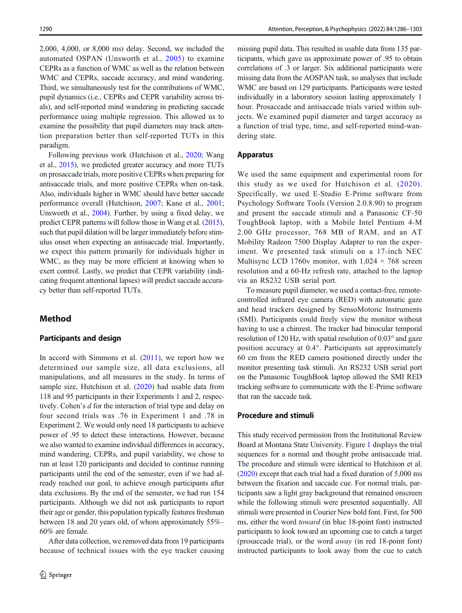2,000, 4,000, or 8,000 ms) delay. Second, we included the automated OSPAN (Unsworth et al., [2005](#page-16-0)) to examine CEPRs as a function of WMC as well as the relation between WMC and CEPRs, saccade accuracy, and mind wandering. Third, we simultaneously test for the contributions of WMC, pupil dynamics (i.e., CEPRs and CEPR variability across trials), and self-reported mind wandering in predicting saccade performance using multiple regression. This allowed us to examine the possibility that pupil diameters may track attention preparation better than self-reported TUTs in this paradigm.

Following previous work (Hutchison et al., [2020](#page-15-0); Wang et al., [2015\)](#page-17-0), we predicted greater accuracy and more TUTs on prosaccade trials, more positive CEPRs when preparing for antisaccade trials, and more positive CEPRs when on-task. Also, individuals higher in WMC should have better saccade performance overall (Hutchison, [2007;](#page-15-0) Kane et al., [2001](#page-15-0); Unsworth et al., [2004](#page-17-0)). Further, by using a fixed delay, we predict CEPR patterns will follow those in Wang et al. [\(2015\)](#page-17-0), such that pupil dilation will be larger immediately before stimulus onset when expecting an antisaccade trial. Importantly, we expect this pattern primarily for individuals higher in WMC, as they may be more efficient at knowing when to exert control. Lastly, we predict that CEPR variability (indicating frequent attentional lapses) will predict saccade accuracy better than self-reported TUTs.

### Method

### Participants and design

In accord with Simmons et al.  $(2011)$  $(2011)$  $(2011)$ , we report how we determined our sample size, all data exclusions, all manipulations, and all measures in the study. In terms of sample size, Hutchison et al. ([2020\)](#page-15-0) had usable data from 118 and 95 participants in their Experiments 1 and 2, respectively. Cohen's d for the interaction of trial type and delay on four second trials was .76 in Experiment 1 and .78 in Experiment 2. We would only need 18 participants to achieve power of .95 to detect these interactions. However, because we also wanted to examine individual differences in accuracy, mind wandering, CEPRs, and pupil variability, we chose to run at least 120 participants and decided to continue running participants until the end of the semester, even if we had already reached our goal, to achieve enough participants after data exclusions. By the end of the semester, we had run 154 participants. Although we did not ask participants to report their age or gender, this population typically features freshman between 18 and 20 years old, of whom approximately 55%– 60% are female.

After data collection, we removed data from 19 participants because of technical issues with the eye tracker causing missing pupil data. This resulted in usable data from 135 participants, which gave us approximate power of .95 to obtain correlations of .3 or larger. Six additional participants were missing data from the AOSPAN task, so analyses that include WMC are based on 129 participants. Participants were tested individually in a laboratory session lasting approximately 1 hour. Prosaccade and antisaccade trials varied within subjects. We examined pupil diameter and target accuracy as a function of trial type, time, and self-reported mind-wandering state.

### Apparatus

We used the same equipment and experimental room for this study as we used for Hutchison et al. ([2020](#page-15-0)). Specifically, we used E-Studio E-Prime software from Psychology Software Tools (Version 2.0.8.90) to program and present the saccade stimuli and a Panasonic CF-50 ToughBook laptop, with a Mobile Intel Pentium 4-M 2.00 GHz processor, 768 MB of RAM, and an AT Mobility Radeon 7500 Display Adapter to run the experiment. We presented task stimuli on a 17-inch NEC Multisync LCD 1760v monitor, with  $1,024 \times 768$  screen resolution and a 60-Hz refresh rate, attached to the laptop via an RS232 USB serial port.

To measure pupil diameter, we used a contact-free, remotecontrolled infrared eye camera (RED) with automatic gaze and head trackers designed by SensoMotoric Instruments (SMI). Participants could freely view the monitor without having to use a chinrest. The tracker had binocular temporal resolution of 120 Hz, with spatial resolution of 0.03° and gaze position accuracy at 0.4°. Participants sat approximately 60 cm from the RED camera positioned directly under the monitor presenting task stimuli. An RS232 USB serial port on the Panasonic ToughBook laptop allowed the SMI RED tracking software to communicate with the E-Prime software that ran the saccade task.

### Procedure and stimuli

This study received permission from the Institutional Review Board at Montana State University. Figure [1](#page-5-0) displays the trial sequences for a normal and thought probe antisaccade trial. The procedure and stimuli were identical to Hutchison et al. [\(2020\)](#page-15-0) except that each trial had a fixed duration of 5,000 ms between the fixation and saccade cue. For normal trials, participants saw a light gray background that remained onscreen while the following stimuli were presented sequentially. All stimuli were presented in Courier New bold font. First, for 500 ms, either the word toward (in blue 18-point font) instructed participants to look toward an upcoming cue to catch a target (prosaccade trial), or the word away (in red 18-point font) instructed participants to look away from the cue to catch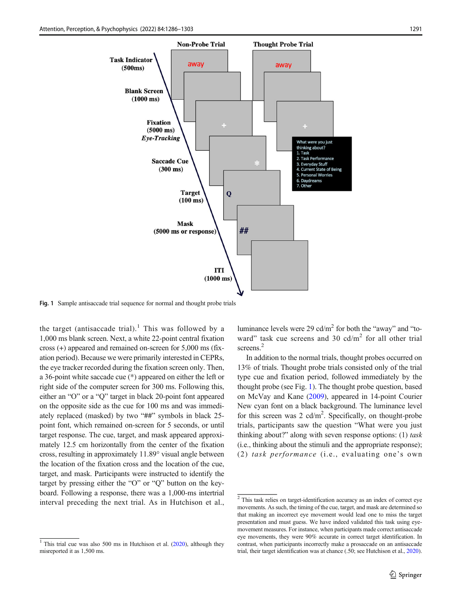<span id="page-5-0"></span>

Fig. 1 Sample antisaccade trial sequence for normal and thought probe trials

the target (antisaccade trial).<sup>1</sup> This was followed by a 1,000 ms blank screen. Next, a white 22-point central fixation cross (+) appeared and remained on-screen for 5,000 ms (fixation period). Because we were primarily interested in CEPRs, the eye tracker recorded during the fixation screen only. Then, a 36-point white saccade cue (\*) appeared on either the left or right side of the computer screen for 300 ms. Following this, either an "O" or a "Q" target in black 20-point font appeared on the opposite side as the cue for 100 ms and was immediately replaced (masked) by two "##" symbols in black 25 point font, which remained on-screen for 5 seconds, or until target response. The cue, target, and mask appeared approximately 12.5 cm horizontally from the center of the fixation cross, resulting in approximately 11.89° visual angle between the location of the fixation cross and the location of the cue, target, and mask. Participants were instructed to identify the target by pressing either the "O" or "Q" button on the keyboard. Following a response, there was a 1,000-ms intertrial interval preceding the next trial. As in Hutchison et al., luminance levels were 29 cd/ $m<sup>2</sup>$  for both the "away" and "toward" task cue screens and 30  $cd/m<sup>2</sup>$  for all other trial screens.<sup>2</sup>

In addition to the normal trials, thought probes occurred on 13% of trials. Thought probe trials consisted only of the trial type cue and fixation period, followed immediately by the thought probe (see Fig. 1). The thought probe question, based on McVay and Kane [\(2009](#page-16-0)), appeared in 14-point Courier New cyan font on a black background. The luminance level for this screen was 2  $cd/m^2$ . Specifically, on thought-probe trials, participants saw the question "What were you just thinking about?" along with seven response options:  $(1)$  task (i.e., thinking about the stimuli and the appropriate response); (2) task performance (i.e., evaluating one's own

<sup>&</sup>lt;sup>1</sup> This trial cue was also 500 ms in Hutchison et al.  $(2020)$ , although they misreported it as 1,500 ms.

<sup>2</sup> This task relies on target-identification accuracy as an index of correct eye movements. As such, the timing of the cue, target, and mask are determined so that making an incorrect eye movement would lead one to miss the target presentation and must guess. We have indeed validated this task using eyemovement measures. For instance, when participants made correct antisaccade eye movements, they were 90% accurate in correct target identification. In contrast, when participants incorrectly make a prosaccade on an antisaccade trial, their target identification was at chance (.50; see Hutchison et al., [2020\)](#page-15-0).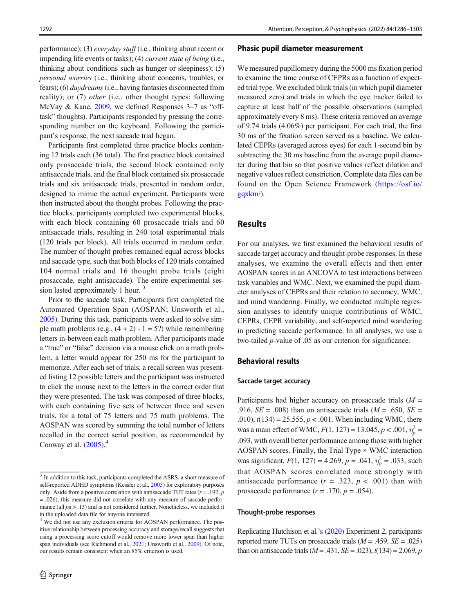performance); (3) everyday stuff (i.e., thinking about recent or impending life events or tasks); (4) current state of being (i.e., thinking about conditions such as hunger or sleepiness); (5) personal worries (i.e., thinking about concerns, troubles, or fears); (6) *daydreams* (i.e., having fantasies disconnected from reality); or (7) other (i.e., other thought types; following McVay & Kane, [2009,](#page-16-0) we defined Responses 3–7 as "offtask" thoughts). Participants responded by pressing the corresponding number on the keyboard. Following the participant's response, the next saccade trial began.

Participants first completed three practice blocks containing 12 trials each (36 total). The first practice block contained only prosaccade trials, the second block contained only antisaccade trials, and the final block contained six prosaccade trials and six antisaccade trials, presented in random order, designed to mimic the actual experiment. Participants were then instructed about the thought probes. Following the practice blocks, participants completed two experimental blocks, with each block containing 60 prosaccade trials and 60 antisaccade trials, resulting in 240 total experimental trials (120 trials per block). All trials occurred in random order. The number of thought probes remained equal across blocks and saccade type, such that both blocks of 120 trials contained 104 normal trials and 16 thought probe trials (eight prosaccade, eight antisaccade). The entire experimental session lasted approximately 1 hour.<sup>3</sup>

Prior to the saccade task, Participants first completed the Automated Operation Span (AOSPAN; Unsworth et al., [2005\)](#page-16-0). During this task, participants were asked to solve simple math problems (e.g.,  $(4 + 2) - 1 = 5$ ?) while remembering letters in-between each math problem. After participants made a "true" or "false" decision via a mouse click on a math problem, a letter would appear for 250 ms for the participant to memorize. After each set of trials, a recall screen was presented listing 12 possible letters and the participant was instructed to click the mouse next to the letters in the correct order that they were presented. The task was composed of three blocks, with each containing five sets of between three and seven trials, for a total of 75 letters and 75 math problems. The AOSPAN was scored by summing the total number of letters recalled in the correct serial position, as recommended by Conway et al.  $(2005)^4$  $(2005)^4$ 

#### Phasic pupil diameter measurement

We measured pupillometry during the 5000 ms fixation period to examine the time course of CEPRs as a function of expected trial type. We excluded blink trials (in which pupil diameter measured zero) and trials in which the eye tracker failed to capture at least half of the possible observations (sampled approximately every 8 ms). These criteria removed an average of 9.74 trials (4.06%) per participant. For each trial, the first 30 ms of the fixation screen served as a baseline. We calculated CEPRs (averaged across eyes) for each 1-second bin by subtracting the 30 ms baseline from the average pupil diameter during that bin so that positive values reflect dilation and negative values reflect constriction. Complete data files can be found on the Open Science Framework ([https://osf.io/](https://osf.io/gqxkm/) [gqxkm/\)](https://osf.io/gqxkm/).

### Results

For our analyses, we first examined the behavioral results of saccade target accuracy and thought-probe responses. In these analyses, we examine the overall effects and then enter AOSPAN scores in an ANCOVA to test interactions between task variables and WMC. Next, we examined the pupil diameter analyses of CEPRs and their relation to accuracy, WMC, and mind wandering. Finally, we conducted multiple regression analyses to identify unique contributions of WMC, CEPRs, CEPR variability, and self-reported mind wandering in predicting saccade performance. In all analyses, we use a two-tailed p-value of .05 as our criterion for significance.

#### Behavioral results

#### Saccade target accuracy

Participants had higher accuracy on prosaccade trials  $(M =$ .916,  $SE = .008$ ) than on antisaccade trials ( $M = .650$ ,  $SE =$ .010),  $t(134) = 25.555$ ,  $p < .001$ . When including WMC, there was a main effect of WMC,  $F(1, 127) = 13.045$ ,  $p < .001$ ,  $\eta_p^2 =$ .093, with overall better performance among those with higher AOSPAN scores. Finally, the Trial Type × WMC interaction was significant,  $F(1, 127) = 4.269$ ,  $p = .041$ ,  $\eta_p^2 = .033$ , such that AOSPAN scores correlated more strongly with antisaccade performance  $(r = .323, p < .001)$  than with prosaccade performance  $(r = .170, p = .054)$ .

#### Thought-probe responses

Replicating Hutchison et al.'s [\(2020\)](#page-15-0) Experiment 2, participants reported more TUTs on prosaccade trials  $(M = .459, SE = .025)$ than on antisaccade trials ( $M = .431$ ,  $SE = .023$ ),  $t(134) = 2.069$ , p

<sup>&</sup>lt;sup>3</sup> In addition to this task, participants completed the ASRS, a short measure of self-reported ADHD symptoms (Kessler et al., [2005\)](#page-16-0) for exploratory purposes only. Aside from a positive correlation with antisaccade TUT rates  $(r = .192, p$ = .026), this measure did not correlate with any measure of saccade performance (all  $ps > .13$ ) and is not considered further. Nonetheless, we included it in the uploaded data file for anyone interested.

<sup>4</sup> We did not use any exclusion criteria for AOSPAN performance. The positive relationship between processing accuracy and storage/recall suggests that using a processing score cutoff would remove more lower span than higher span individuals (see Richmond et al., [2021](#page-16-0); Unsworth et al., [2009](#page-16-0)). Of note, our results remain consistent when an 85% criterion is used.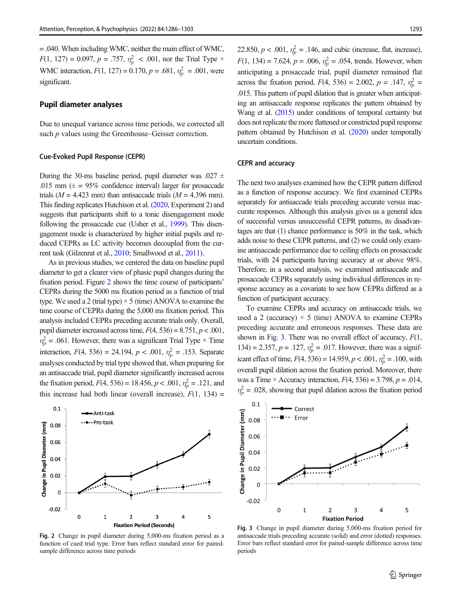<span id="page-7-0"></span>= .040. When including WMC, neither the main effect of WMC,  $F(1, 127) = 0.097, p = .757, \eta_p^2 < .001$ , nor the Trial Type  $\times$ WMC interaction,  $F(1, 127) = 0.170$ ,  $p = .681$ ,  $\eta_p^2 = .001$ , were significant.

#### Pupil diameter analyses

Due to unequal variance across time periods, we corrected all such *p* values using the Greenhouse–Geisser correction.

#### Cue-Evoked Pupil Response (CEPR)

During the 30-ms baseline period, pupil diameter was .027  $\pm$ .015 mm  $(\pm = 95\%$  confidence interval) larger for prosaccade trials ( $M = 4.423$  mm) than antisaccade trials ( $M = 4.396$  mm). This finding replicates Hutchison et al. [\(2020](#page-15-0), Experiment 2) and suggests that participants shift to a tonic disengagement mode following the prosaccade cue (Usher et al., [1999\)](#page-17-0). This disengagement mode is characterized by higher initial pupils and reduced CEPRs as LC activity becomes decoupled from the current task (Gilzenrat et al., [2010](#page-15-0); Smallwood et al., [2011\)](#page-16-0).

As in previous studies, we centered the data on baseline pupil diameter to get a clearer view of phasic pupil changes during the fixation period. Figure 2 shows the time course of participants' CEPRs during the 5000 ms fixation period as a function of trial type. We used a 2 (trial type)  $\times$  5 (time) ANOVA to examine the time course of CEPRs during the 5,000 ms fixation period. This analysis included CEPRs preceding accurate trials only. Overall, pupil diameter increased across time,  $F(4, 536) = 8.751$ ,  $p < .001$ ,  $\eta_p^2$  = .061. However, there was a significant Trial Type  $\times$  Time interaction,  $F(4, 536) = 24.194$ ,  $p < .001$ ,  $\eta_p^2 = .153$ . Separate analyses conducted by trial type showed that, when preparing for an antisaccade trial, pupil diameter significantly increased across the fixation period,  $F(4, 536) = 18.456, p < .001, \eta_p^2 = .121$ , and this increase had both linear (overall increase),  $F(1, 134) =$ 



Fig. 2 Change in pupil diameter during 5,000-ms fixation period as a function of cued trial type. Error bars reflect standard error for pairedsample difference across time periods

22.850,  $p < .001$ ,  $\eta_p^2 = .146$ , and cubic (increase, flat, increase),  $F(1, 134) = 7.624$ ,  $p = .006$ ,  $\eta_p^2 = .054$ , trends. However, when anticipating a prosaccade trial, pupil diameter remained flat across the fixation period,  $F(4, 536) = 2.002$ ,  $p = .147$ ,  $\eta_p^2 =$ .015. This pattern of pupil dilation that is greater when anticipating an antisaccade response replicates the pattern obtained by Wang et al. ([2015](#page-17-0)) under conditions of temporal certainty but does not replicate the more flattened or constricted pupil response pattern obtained by Hutchison et al. [\(2020\)](#page-15-0) under temporally uncertain conditions.

#### CEPR and accuracy

The next two analyses examined how the CEPR pattern differed as a function of response accuracy. We first examined CEPRs separately for antisaccade trials preceding accurate versus inaccurate responses. Although this analysis gives us a general idea of successful versus unsuccessful CEPR patterns, its disadvantages are that (1) chance performance is 50% in the task, which adds noise to these CEPR patterns, and (2) we could only examine antisaccade performance due to ceiling effects on prosaccade trials, with 24 participants having accuracy at or above 98%. Therefore, in a second analysis, we examined antisaccade and prosaccade CEPRs separately using individual differences in response accuracy as a covariate to see how CEPRs differed as a function of participant accuracy.

To examine CEPRs and accuracy on antisaccade trials, we used a 2 (accuracy)  $\times$  5 (time) ANOVA to examine CEPRs preceding accurate and erroneous responses. These data are shown in Fig. 3. There was no overall effect of accuracy,  $F(1,$ 134) = 2.357,  $p = .127$ ,  $\eta_p^2 = .017$ . However, there was a significant effect of time,  $F(4, 536) = 14.959$ ,  $p < .001$ ,  $\eta_p^2 = .100$ , with overall pupil dilation across the fixation period. Moreover, there was a Time  $\times$  Accuracy interaction,  $F(4, 536) = 3.798$ ,  $p = .014$ ,  $\eta_p^2$  = .028, showing that pupil dilation across the fixation period



Fig. 3 Change in pupil diameter during 5,000-ms fixation period for antisaccade trials preceding accurate (solid) and error (dotted) responses. Error bars reflect standard error for paired-sample difference across time periods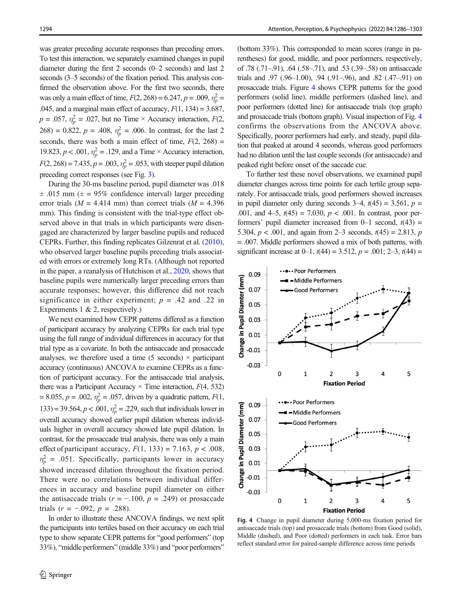was greater preceding accurate responses than preceding errors. To test this interaction, we separately examined changes in pupil diameter during the first 2 seconds (0–2 seconds) and last 2 seconds (3–5 seconds) of the fixation period. This analysis confirmed the observation above. For the first two seconds, there was only a main effect of time,  $F(2, 268) = 6.247$ ,  $p = .009$ ,  $\eta_p^2 =$ .045, and a marginal main effect of accuracy,  $F(1, 134) = 3.687$ ,  $p = .057$ ,  $\eta_p^2 = .027$ , but no Time × Accuracy interaction,  $F(2, \theta_p)$  $268$ ) = 0.822,  $p = .408$ ,  $\eta_p^2 = .006$ . In contrast, for the last 2 seconds, there was both a main effect of time,  $F(2, 268) =$ 19.823,  $p < .001$ ,  $\eta_p^2 = .129$ , and a Time × Accuracy interaction,  $F(2, 268) = 7.435, p = .003, \eta_p^2 = .053$ , with steeper pupil dilation preceding correct responses (see Fig. [3\)](#page-7-0).

During the 30-ms baseline period, pupil diameter was .018  $\pm$  .015 mm ( $\pm$  = 95% confidence interval) larger preceding error trials ( $M = 4.414$  mm) than correct trials ( $M = 4.396$ mm). This finding is consistent with the trial-type effect observed above in that trials in which participants were disengaged are characterized by larger baseline pupils and reduced CEPRs. Further, this finding replicates Gilzenrat et al. [\(2010\)](#page-15-0), who observed larger baseline pupils preceding trials associated with errors or extremely long RTs. (Although not reported in the paper, a reanalysis of Hutchison et al., [2020](#page-15-0), shows that baseline pupils were numerically larger preceding errors than accurate responses; however, this difference did not reach significance in either experiment;  $p = .42$  and .22 in Experiments 1 & 2, respectively.)

We next examined how CEPR patterns differed as a function of participant accuracy by analyzing CEPRs for each trial type using the full range of individual differences in accuracy for that trial type as a covariate. In both the antisaccade and prosaccade analyses, we therefore used a time  $(5$  seconds)  $\times$  participant accuracy (continuous) ANCOVA to examine CEPRs as a function of participant accuracy. For the antisaccade trial analysis, there was a Participant Accuracy  $\times$  Time interaction,  $F(4, 532)$ = 8.055,  $p = .002$ ,  $\eta_p^2 = .057$ , driven by a quadratic pattern,  $F(1, 0)$ 133) = 39.564,  $p < .001$ ,  $\eta_p^2 = .229$ , such that individuals lower in overall accuracy showed earlier pupil dilation whereas individuals higher in overall accuracy showed late pupil dilation. In contrast, for the prosaccade trial analysis, there was only a main effect of participant accuracy,  $F(1, 133) = 7.163$ ,  $p < .008$ ,  $\eta_p^2$  = .051. Specifically, participants lower in accuracy showed increased dilation throughout the fixation period. There were no correlations between individual differences in accuracy and baseline pupil diameter on either the antisaccade trials ( $r = -.100$ ,  $p = .249$ ) or prosaccade trials  $(r = -.092, p = .288)$ .

In order to illustrate these ANCOVA findings, we next split the participants into tertiles based on their accuracy on each trial type to show separate CEPR patterns for "good performers" (top 33%), "middle performers" (middle 33%) and "poor performers"

(bottom 33%). This corresponded to mean scores (range in parentheses) for good, middle, and poor performers, respectively, of .78 (.71–.91), .64 (.58–.71), and .53 (.39–.58) on antisaccade trials and .97 (.96–1.00), .94 (.91–.96), and .82 (.47–.91) on prosaccade trials. Figure 4 shows CEPR patterns for the good performers (solid line), middle performers (dashed line), and poor performers (dotted line) for antisaccade trials (top graph) and prosaccade trials (bottom graph). Visual inspection of Fig. 4 confirms the observations from the ANCOVA above. Specifically, poorer performers had early, and steady, pupil dilation that peaked at around 4 seconds, whereas good performers had no dilation until the last couple seconds (for antisaccade) and peaked right before onset of the saccade cue.

To further test these novel observations, we examined pupil diameter changes across time points for each tertile group separately. For antisaccade trials, good performers showed increases in pupil diameter only during seconds  $3-4$ ,  $t(45) = 3.561$ ,  $p =$ .001, and 4–5,  $t(45) = 7.030$ ,  $p < .001$ . In contrast, poor performers' pupil diameter increased from  $0-1$  second,  $t(43)$  = 5.304,  $p < .001$ , and again from 2–3 seconds,  $t(45) = 2.813$ ,  $p = 1.813$ = .007. Middle performers showed a mix of both patterns, with significant increase at  $0-1$ ,  $t(44) = 3.512$ ,  $p = .001$ ;  $2-3$ ,  $t(44) =$ 



Fig. 4 Change in pupil diameter during 5,000-ms fixation period for antisaccade trials (top) and prosaccade trials (bottom) from Good (solid), Middle (dashed), and Poor (dotted) performers in each task. Error bars reflect standard error for paired-sample difference across time periods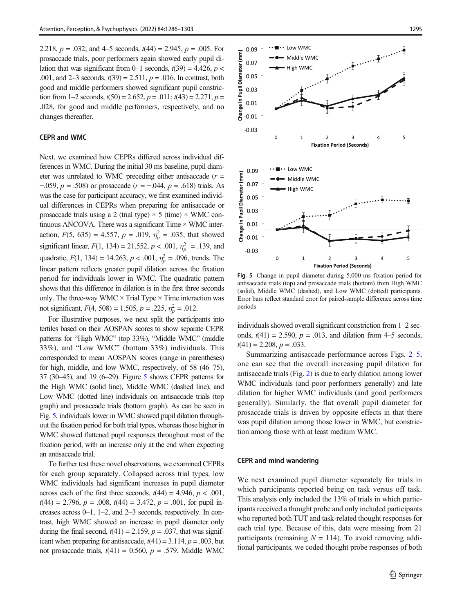2.218,  $p = .032$ ; and 4–5 seconds,  $t(44) = 2.945$ ,  $p = .005$ . For prosaccade trials, poor performers again showed early pupil dilation that was significant from 0–1 seconds,  $t(39) = 4.426$ ,  $p <$ .001, and 2–3 seconds,  $t(39) = 2.511$ ,  $p = .016$ . In contrast, both good and middle performers showed significant pupil constriction from 1–2 seconds,  $t(50) = 2.652$ ,  $p = .011$ ;  $t(43) = 2.271$ ,  $p =$ .028, for good and middle performers, respectively, and no changes thereafter.

#### CEPR and WMC

Next, we examined how CEPRs differed across individual differences in WMC. During the initial 30 ms baseline, pupil diameter was unrelated to WMC preceding either antisaccade  $(r =$ −.059,  $p = .508$ ) or prosaccade ( $r = -.044$ ,  $p = .618$ ) trials. As was the case for participant accuracy, we first examined individual differences in CEPRs when preparing for antisaccade or prosaccade trials using a 2 (trial type)  $\times$  5 (time)  $\times$  WMC continuous ANCOVA. There was a significant Time  $\times$  WMC interaction,  $F(5, 635) = 4.557$ ,  $p = .019$ ,  $\eta_p^2 = .035$ , that showed significant linear,  $F(1, 134) = 21.552$ ,  $p < .001$ ,  $\eta_p^2 = .139$ , and quadratic,  $F(1, 134) = 14.263$ ,  $p < .001$ ,  $\eta_p^2 = .096$ , trends. The linear pattern reflects greater pupil dilation across the fixation period for individuals lower in WMC. The quadratic pattern shows that this difference in dilation is in the first three seconds only. The three-way WMC  $\times$  Trial Type  $\times$  Time interaction was not significant,  $F(4, 508) = 1.505$ ,  $p = .225$ ,  $\eta_p^2 = .012$ .

For illustrative purposes, we next split the participants into tertiles based on their AOSPAN scores to show separate CEPR patterns for "High WMC" (top 33%), "Middle WMC" (middle 33%), and "Low WMC" (bottom 33%) individuals. This corresponded to mean AOSPAN scores (range in parentheses) for high, middle, and low WMC, respectively, of 58 (46–75), 37 (30–45), and 19 (6–29). Figure 5 shows CEPR patterns for the High WMC (solid line), Middle WMC (dashed line), and Low WMC (dotted line) individuals on antisaccade trials (top graph) and prosaccade trials (bottom graph). As can be seen in Fig. 5, individuals lower in WMC showed pupil dilation throughout the fixation period for both trial types, whereas those higher in WMC showed flattened pupil responses throughout most of the fixation period, with an increase only at the end when expecting an antisaccade trial.

To further test these novel observations, we examined CEPRs for each group separately. Collapsed across trial types, low WMC individuals had significant increases in pupil diameter across each of the first three seconds,  $t(44) = 4.946$ ,  $p < .001$ ,  $t(44) = 2.796, p = .008, t(44) = 3.472, p = .001$ , for pupil increases across 0–1, 1–2, and 2–3 seconds, respectively. In contrast, high WMC showed an increase in pupil diameter only during the final second,  $t(41) = 2.159$ ,  $p = .037$ , that was significant when preparing for antisaccade,  $t(41) = 3.114$ ,  $p = .003$ , but not prosaccade trials,  $t(41) = 0.560$ ,  $p = .579$ . Middle WMC



Fig. 5 Change in pupil diameter during 5,000-ms fixation period for antisaccade trials (top) and prosaccade trials (bottom) from High WMC (solid), Middle WMC (dashed), and Low WMC (dotted) participants. Error bars reflect standard error for paired-sample difference across time periods

individuals showed overall significant constriction from 1–2 seconds,  $t(41) = 2.590$ ,  $p = .013$ , and dilation from 4–5 seconds.  $t(41) = 2.208, p = .033.$ 

Summarizing antisaccade performance across Figs. [2](#page-7-0)–5, one can see that the overall increasing pupil dilation for antisaccade trials (Fig. [2\)](#page-7-0) is due to early dilation among lower WMC individuals (and poor performers generally) and late dilation for higher WMC individuals (and good performers generally). Similarly, the flat overall pupil diameter for prosaccade trials is driven by opposite effects in that there was pupil dilation among those lower in WMC, but constriction among those with at least medium WMC.

#### CEPR and mind wandering

We next examined pupil diameter separately for trials in which participants reported being on task versus off task. This analysis only included the 13% of trials in which participants received a thought probe and only included participants who reported both TUT and task-related thought responses for each trial type. Because of this, data were missing from 21 participants (remaining  $N = 114$ ). To avoid removing additional participants, we coded thought probe responses of both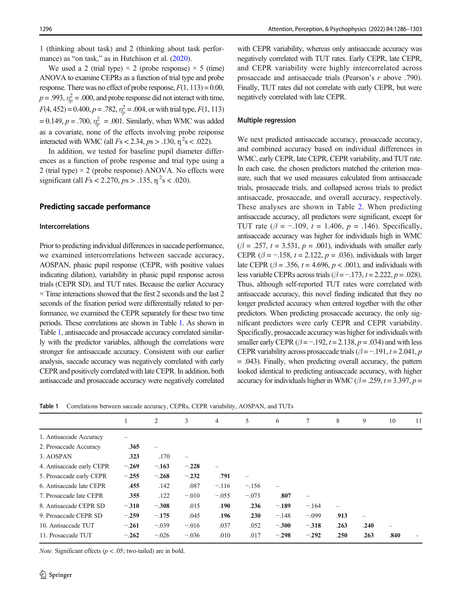1 (thinking about task) and 2 (thinking about task perfor-mance) as "on task," as in Hutchison et al. ([2020](#page-15-0)).

We used a 2 (trial type)  $\times$  2 (probe response)  $\times$  5 (time) ANOVA to examine CEPRs as a function of trial type and probe response. There was no effect of probe response,  $F(1, 113) = 0.00$ ,  $p = .993$ ,  $\eta_p^2 = .000$ , and probe response did not interact with time,  $F(4, 452) = 0.400, p = .782, \eta_p^2 = .004$ , or with trial type,  $F(1, 113)$  $= 0.149, p = .700, \eta_p^2 = .001$ . Similarly, when WMC was added as a covariate, none of the effects involving probe response interacted with WMC (all  $Fs < 2.34$ ,  $ps > .130$ ,  $\eta^2 s < .022$ ).

In addition, we tested for baseline pupil diameter differences as a function of probe response and trial type using a 2 (trial type)  $\times$  2 (probe response) ANOVA. No effects were significant (all  $Fs < 2.270, ps > .135, \eta^2 s < .020$ ).

### Predicting saccade performance

#### Intercorrelations

Prior to predicting individual differences in saccade performance, we examined intercorrelations between saccade accuracy, AOSPAN, phasic pupil response (CEPR, with positive values indicating dilation), variability in phasic pupil response across trials (CEPR SD), and TUT rates. Because the earlier Accuracy  $\times$  Time interactions showed that the first 2 seconds and the last 2 seconds of the fixation period were differentially related to performance, we examined the CEPR separately for these two time periods. These correlations are shown in Table 1. As shown in Table 1, antisaccade and prosaccade accuracy correlated similarly with the predictor variables, although the correlations were stronger for antisaccade accuracy. Consistent with our earlier analysis, saccade accuracy was negatively correlated with early CEPR and positively correlated with late CEPR. In addition, both antisaccade and prosaccade accuracy were negatively correlated

with CEPR variability, whereas only antisaccade accuracy was negatively correlated with TUT rates. Early CEPR, late CEPR, and CEPR variability were highly intercorrelated across prosaccade and antisaccade trials (Pearson's r above .790). Finally, TUT rates did not correlate with early CEPR, but were negatively correlated with late CEPR.

#### Multiple regression

We next predicted antisaccade accuracy, prosaccade accuracy, and combined accuracy based on individual differences in WMC, early CEPR, late CEPR, CEPR variability, and TUT rate. In each case, the chosen predictors matched the criterion measure, such that we used measures calculated from antisaccade trials, prosaccade trials, and collapsed across trials to predict antisaccade, prosaccade, and overall accuracy, respectively. These analyses are shown in Table [2.](#page-11-0) When predicting antisaccade accuracy, all predictors were significant, except for TUT rate ( $\beta = -.109$ ,  $t = 1.406$ ,  $p = .146$ ). Specifically, antisaccade accuracy was higher for individuals high in WMC  $(\beta = .257, t = 3.531, p = .001)$ , individuals with smaller early CEPR ( $\beta$  = -.158, t = 2.122, p = .036), individuals with larger late CEPR ( $\beta$  = .356, t = 4.696, p < .001), and individuals with less variable CEPRs across trials ( $\beta = -173$ ,  $t = 2.222$ ,  $p = .028$ ). Thus, although self-reported TUT rates were correlated with antisaccade accuracy, this novel finding indicated that they no longer predicted accuracy when entered together with the other predictors. When predicting prosaccade accuracy, the only significant predictors were early CEPR and CEPR variability. Specifically, prosaccade accuracy was higher for individuals with smaller early CEPR  $(\beta = -192, t = 2.138, p = .034)$  and with less CEPR variability across prosaccade trials ( $\beta = -191$ ,  $t = 2.041$ , p = .043). Finally, when predicting overall accuracy, the pattern looked identical to predicting antisaccade accuracy, with higher accuracy for individuals higher in WMC ( $\beta$  = .259, t = 3.397, p =

Table 1 Correlations between saccade accuracy, CEPRs, CEPR variability, AOSPAN, and TUTs

|                           |         | 2                        | 3                        | $\overline{4}$ | 5       | 6                        | 7                        | 8        | 9                        | 10   | 11 |
|---------------------------|---------|--------------------------|--------------------------|----------------|---------|--------------------------|--------------------------|----------|--------------------------|------|----|
| 1. Antisaccade Accuracy   |         |                          |                          |                |         |                          |                          |          |                          |      |    |
| 2. Prosaccade Accuracy    | .365    | $\overline{\phantom{m}}$ |                          |                |         |                          |                          |          |                          |      |    |
| 3. AOSPAN                 | .323    | .170                     | $\overline{\phantom{0}}$ |                |         |                          |                          |          |                          |      |    |
| 4. Antisaccade early CEPR | $-.269$ | $-.163$                  | $-.228$                  |                |         |                          |                          |          |                          |      |    |
| 5. Prosaccade early CEPR  | $-.255$ | $-.268$                  | $-.232$                  | .791           |         |                          |                          |          |                          |      |    |
| 6. Antisaccade late CEPR  | .455    | .142                     | .087                     | $-.116$        | $-.156$ | $\overline{\phantom{m}}$ |                          |          |                          |      |    |
| 7. Prosaccade late CEPR   | .355    | .122                     | $-.010$                  | $-.055$        | $-.073$ | .807                     | $\overline{\phantom{0}}$ |          |                          |      |    |
| 8. Antisaccade CEPR SD    | $-.310$ | $-.308$                  | .015                     | .190           | .236    | $-.189$                  | $-.164$                  | $\equiv$ |                          |      |    |
| 9. Prosaccade CEPR SD     | $-.259$ | $-.175$                  | .045                     | .196           | .230    | $-.148$                  | $-.099$                  | .913     | $\overline{\phantom{m}}$ |      |    |
| 10. Antisaccade TUT       | $-.261$ | $-.039$                  | $-.016$                  | .037           | .052    | $-.300$                  | $-.318$                  | .263     | .240                     |      |    |
| 11. Prosaccade TUT        | $-.262$ | $-.026$                  | $-.036$                  | .010           | .017    | $-.298$                  | $-.292$                  | .250     | .263                     | .840 |    |
|                           |         |                          |                          |                |         |                          |                          |          |                          |      |    |

*Note.* Significant effects ( $p < .05$ ; two-tailed) are in bold.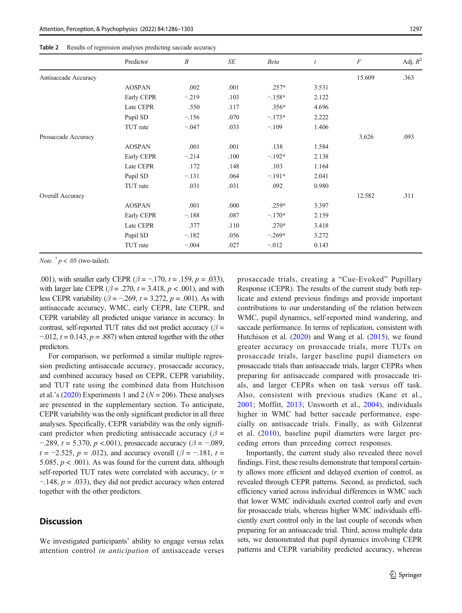|                      | Predictor     | $\boldsymbol{B}$ | SE   | <b>Beta</b> | $\mathfrak{t}$ | $\boldsymbol{F}$ | Adj. $R^2$ |
|----------------------|---------------|------------------|------|-------------|----------------|------------------|------------|
| Antisaccade Accuracy |               |                  |      |             |                | 15.609           | .363       |
|                      | <b>AOSPAN</b> | .002             | .001 | $.257*$     | 3.531          |                  |            |
|                      | Early CEPR    | $-.219$          | .103 | $-158*$     | 2.122          |                  |            |
|                      | Late CEPR     | .550             | .117 | $.356*$     | 4.696          |                  |            |
|                      | Pupil SD      | $-.156$          | .070 | $-.173*$    | 2.222          |                  |            |
|                      | TUT rate      | $-.047$          | .033 | $-.109$     | 1.406          |                  |            |
| Prosaccade Accuracy  |               |                  |      |             |                | 3.626            | .093       |
|                      | <b>AOSPAN</b> | .001             | .001 | .138        | 1.584          |                  |            |
|                      | Early CEPR    | $-.214$          | .100 | $-.192*$    | 2.138          |                  |            |
|                      | Late CEPR     | .172             | .148 | .103        | 1.164          |                  |            |
|                      | Pupil SD      | $-.131$          | .064 | $-.191*$    | 2.041          |                  |            |
|                      | TUT rate      | .031             | .031 | .092        | 0.980          |                  |            |
| Overall Accuracy     |               |                  |      |             |                | 12.582           | .311       |
|                      | <b>AOSPAN</b> | .001             | .000 | $.259*$     | 3.397          |                  |            |
|                      | Early CEPR    | $-.188$          | .087 | $-.170*$    | 2.159          |                  |            |
|                      | Late CEPR     | .377             | .110 | $.270*$     | 3.418          |                  |            |
|                      | Pupil SD      | $-.182$          | .056 | $-.269*$    | 3.272          |                  |            |
|                      | TUT rate      | $-.004$          | .027 | $-.012$     | 0.143          |                  |            |

<span id="page-11-0"></span>

| <b>Table 2</b> Results of regression analyses predicting saccade accuracy |
|---------------------------------------------------------------------------|
|                                                                           |

Note.  $p < .05$  (two-tailed).

.001), with smaller early CEPR ( $\beta$  = -.170, t = .159, p = .033), with larger late CEPR ( $\beta$  = .270, t = 3.418, p < .001), and with less CEPR variability ( $\beta$  = -.269, t = 3.272, p = .001). As with antisaccade accuracy, WMC, early CEPR, late CEPR, and CEPR variability all predicted unique variance in accuracy. In contrast, self-reported TUT rates did not predict accuracy ( $\beta$  =  $-0.012$ ,  $t = 0.143$ ,  $p = .887$ ) when entered together with the other predictors.

For comparison, we performed a similar multiple regression predicting antisaccade accuracy, prosaccade accuracy, and combined accuracy based on CEPR, CEPR variability, and TUT rate using the combined data from Hutchison et al.'s ([2020](#page-15-0)) Experiments 1 and 2 ( $N = 206$ ). These analyses are presented in the supplementary section. To anticipate, CEPR variability was the only significant predictor in all three analyses. Specifically, CEPR variability was the only significant predictor when predicting antisaccade accuracy ( $\beta$  = −.289,  $t = 5.370$ ,  $p$  <.001), prosaccade accuracy ( $\beta = -0.089$ ,  $t = -2.525$ ,  $p = .012$ ), and accuracy overall ( $\beta = -.181$ ,  $t =$ 5.085,  $p < .001$ ). As was found for the current data, although self-reported TUT rates were correlated with accuracy,  $(r =$  $-148$ ,  $p = .033$ ), they did not predict accuracy when entered together with the other predictors.

### **Discussion**

We investigated participants' ability to engage versus relax attention control in anticipation of antisaccade verses prosaccade trials, creating a "Cue-Evoked" Pupillary Response (CEPR). The results of the current study both replicate and extend previous findings and provide important contributions to our understanding of the relation between WMC, pupil dynamics, self-reported mind wandering, and saccade performance. In terms of replication, consistent with Hutchison et al. ([2020](#page-15-0)) and Wang et al. ([2015\)](#page-17-0), we found greater accuracy on prosaccade trials, more TUTs on prosaccade trials, larger baseline pupil diameters on prosaccade trials than antisaccade trials, larger CEPRs when preparing for antisaccade compared with prosaccade trials, and larger CEPRs when on task versus off task. Also, consistent with previous studies (Kane et al., [2001](#page-15-0); Moffitt, [2013;](#page-16-0) Unsworth et al., [2004](#page-17-0)), individuals higher in WMC had better saccade performance, especially on antisaccade trials. Finally, as with Gilzenrat et al. [\(2010\)](#page-15-0), baseline pupil diameters were larger preceding errors than preceding correct responses.

Importantly, the current study also revealed three novel findings. First, these results demonstrate that temporal certainty allows more efficient and delayed exertion of control, as revealed through CEPR patterns. Second, as predicted, such efficiency varied across individual differences in WMC such that lower WMC individuals exerted control early and even for prosaccade trials, whereas higher WMC individuals efficiently exert control only in the last couple of seconds when preparing for an antisaccade trial. Third, across multiple data sets, we demonstrated that pupil dynamics involving CEPR patterns and CEPR variability predicted accuracy, whereas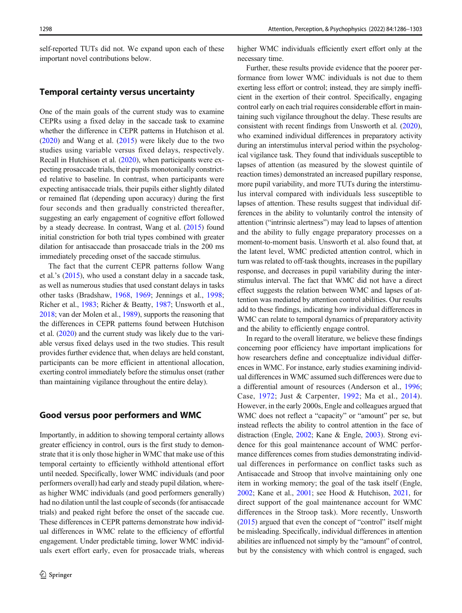self-reported TUTs did not. We expand upon each of these important novel contributions below.

### Temporal certainty versus uncertainty

One of the main goals of the current study was to examine CEPRs using a fixed delay in the saccade task to examine whether the difference in CEPR patterns in Hutchison et al. [\(2020](#page-15-0)) and Wang et al. ([2015](#page-17-0)) were likely due to the two studies using variable versus fixed delays, respectively. Recall in Hutchison et al. [\(2020\)](#page-15-0), when participants were expecting prosaccade trials, their pupils monotonically constricted relative to baseline. In contrast, when participants were expecting antisaccade trials, their pupils either slightly dilated or remained flat (depending upon accuracy) during the first four seconds and then gradually constricted thereafter, suggesting an early engagement of cognitive effort followed by a steady decrease. In contrast, Wang et al. [\(2015\)](#page-17-0) found initial constriction for both trial types combined with greater dilation for antisaccade than prosaccade trials in the 200 ms immediately preceding onset of the saccade stimulus.

The fact that the current CEPR patterns follow Wang et al.'s ([2015](#page-17-0)), who used a constant delay in a saccade task, as well as numerous studies that used constant delays in tasks other tasks (Bradshaw, [1968](#page-15-0), [1969](#page-15-0); Jennings et al., [1998](#page-15-0); Richer et al., [1983](#page-16-0); Richer & Beatty, [1987](#page-16-0); Unsworth et al., [2018;](#page-17-0) van der Molen et al., [1989](#page-17-0)), supports the reasoning that the differences in CEPR patterns found between Hutchison et al. [\(2020](#page-15-0)) and the current study was likely due to the variable versus fixed delays used in the two studies. This result provides further evidence that, when delays are held constant, participants can be more efficient in attentional allocation, exerting control immediately before the stimulus onset (rather than maintaining vigilance throughout the entire delay).

### Good versus poor performers and WMC

Importantly, in addition to showing temporal certainty allows greater efficiency in control, ours is the first study to demonstrate that it is only those higher in WMC that make use of this temporal certainty to efficiently withhold attentional effort until needed. Specifically, lower WMC individuals (and poor performers overall) had early and steady pupil dilation, whereas higher WMC individuals (and good performers generally) had no dilation until the last couple of seconds (for antisaccade trials) and peaked right before the onset of the saccade cue. These differences in CEPR patterns demonstrate how individual differences in WMC relate to the efficiency of effortful engagement. Under predictable timing, lower WMC individuals exert effort early, even for prosaccade trials, whereas

higher WMC individuals efficiently exert effort only at the necessary time.

Further, these results provide evidence that the poorer performance from lower WMC individuals is not due to them exerting less effort or control; instead, they are simply inefficient in the exertion of their control. Specifically, engaging control early on each trial requires considerable effort in maintaining such vigilance throughout the delay. These results are consistent with recent findings from Unsworth et al. [\(2020\)](#page-16-0), who examined individual differences in preparatory activity during an interstimulus interval period within the psychological vigilance task. They found that individuals susceptible to lapses of attention (as measured by the slowest quintile of reaction times) demonstrated an increased pupillary response, more pupil variability, and more TUTs during the interstimulus interval compared with individuals less susceptible to lapses of attention. These results suggest that individual differences in the ability to voluntarily control the intensity of attention ("intrinsic alertness") may lead to lapses of attention and the ability to fully engage preparatory processes on a moment-to-moment basis. Unsworth et al. also found that, at the latent level, WMC predicted attention control, which in turn was related to off-task thoughts, increases in the pupillary response, and decreases in pupil variability during the interstimulus interval. The fact that WMC did not have a direct effect suggests the relation between WMC and lapses of attention was mediated by attention control abilities. Our results add to these findings, indicating how individual differences in WMC can relate to temporal dynamics of preparatory activity and the ability to efficiently engage control.

In regard to the overall literature, we believe these findings concerning poor efficiency have important implications for how researchers define and conceptualize individual differences in WMC. For instance, early studies examining individual differences in WMC assumed such differences were due to a differential amount of resources (Anderson et al., [1996;](#page-15-0) Case, [1972](#page-15-0); Just & Carpenter, [1992](#page-15-0); Ma et al., [2014](#page-16-0)). However, in the early 2000s, Engle and colleagues argued that WMC does not reflect a "capacity" or "amount" per se, but instead reflects the ability to control attention in the face of distraction (Engle, [2002](#page-15-0); Kane & Engle, [2003\)](#page-15-0). Strong evidence for this goal maintenance account of WMC performance differences comes from studies demonstrating individual differences in performance on conflict tasks such as Antisaccade and Stroop that involve maintaining only one item in working memory; the goal of the task itself (Engle, [2002;](#page-15-0) Kane et al., [2001](#page-15-0); see Hood & Hutchison, [2021,](#page-15-0) for direct support of the goal maintenance account for WMC differences in the Stroop task). More recently, Unsworth [\(2015\)](#page-16-0) argued that even the concept of "control" itself might be misleading. Specifically, individual differences in attention abilities are influenced not simply by the "amount" of control, but by the consistency with which control is engaged, such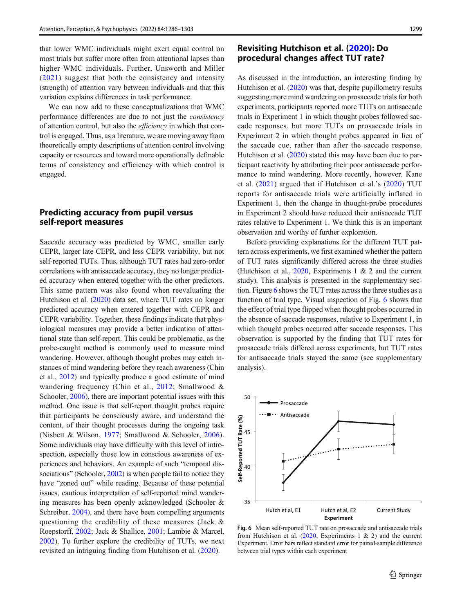<span id="page-13-0"></span>that lower WMC individuals might exert equal control on most trials but suffer more often from attentional lapses than higher WMC individuals. Further, Unsworth and Miller ([2021\)](#page-16-0) suggest that both the consistency and intensity (strength) of attention vary between individuals and that this variation explains differences in task performance.

We can now add to these conceptualizations that WMC performance differences are due to not just the consistency of attention control, but also the efficiency in which that control is engaged. Thus, as a literature, we are moving away from theoretically empty descriptions of attention control involving capacity or resources and toward more operationally definable terms of consistency and efficiency with which control is engaged.

### Predicting accuracy from pupil versus self-report measures

Saccade accuracy was predicted by WMC, smaller early CEPR, larger late CEPR, and less CEPR variability, but not self-reported TUTs. Thus, although TUT rates had zero-order correlations with antisaccade accuracy, they no longer predicted accuracy when entered together with the other predictors. This same pattern was also found when reevaluating the Hutchison et al. ([2020](#page-15-0)) data set, where TUT rates no longer predicted accuracy when entered together with CEPR and CEPR variability. Together, these findings indicate that physiological measures may provide a better indication of attentional state than self-report. This could be problematic, as the probe-caught method is commonly used to measure mind wandering. However, although thought probes may catch instances of mind wandering before they reach awareness (Chin et al., [2012\)](#page-15-0) and typically produce a good estimate of mind wandering frequency (Chin et al., [2012;](#page-15-0) Smallwood & Schooler, [2006\)](#page-16-0), there are important potential issues with this method. One issue is that self-report thought probes require that participants be consciously aware, and understand the content, of their thought processes during the ongoing task (Nisbett & Wilson, [1977;](#page-16-0) Smallwood & Schooler, [2006](#page-16-0)). Some individuals may have difficulty with this level of introspection, especially those low in conscious awareness of experiences and behaviors. An example of such "temporal dis-sociations" (Schooler, [2002](#page-16-0)) is when people fail to notice they have "zoned out" while reading. Because of these potential issues, cautious interpretation of self-reported mind wandering measures has been openly acknowledged (Schooler & Schreiber, [2004\)](#page-16-0), and there have been compelling arguments questioning the credibility of these measures (Jack & Roepstorff, [2002](#page-15-0); Jack & Shallice, [2001](#page-15-0); Lambie & Marcel, [2002\)](#page-16-0). To further explore the credibility of TUTs, we next revisited an intriguing finding from Hutchison et al. [\(2020](#page-15-0)).

### Revisiting Hutchison et al. ([2020\)](#page-15-0): Do procedural changes affect TUT rate?

As discussed in the introduction, an interesting finding by Hutchison et al. ([2020](#page-15-0)) was that, despite pupillometry results suggesting more mind wandering on prosaccade trials for both experiments, participants reported more TUTs on antisaccade trials in Experiment 1 in which thought probes followed saccade responses, but more TUTs on prosaccade trials in Experiment 2 in which thought probes appeared in lieu of the saccade cue, rather than after the saccade response. Hutchison et al. [\(2020\)](#page-15-0) stated this may have been due to participant reactivity by attributing their poor antisaccade performance to mind wandering. More recently, however, Kane et al. ([2021](#page-15-0)) argued that if Hutchison et al.'s [\(2020](#page-15-0)) TUT reports for antisaccade trials were artificially inflated in Experiment 1, then the change in thought-probe procedures in Experiment 2 should have reduced their antisaccade TUT rates relative to Experiment 1. We think this is an important observation and worthy of further exploration.

Before providing explanations for the different TUT pattern across experiments, we first examined whether the pattern of TUT rates significantly differed across the three studies (Hutchison et al.,  $2020$ , Experiments 1 & 2 and the current study). This analysis is presented in the supplementary section. Figure 6 shows the TUT rates across the three studies as a function of trial type. Visual inspection of Fig. 6 shows that the effect of trial type flipped when thought probes occurred in the absence of saccade responses, relative to Experiment 1, in which thought probes occurred after saccade responses. This observation is supported by the finding that TUT rates for prosaccade trials differed across experiments, but TUT rates for antisaccade trials stayed the same (see supplementary analysis).



Fig. 6 Mean self-reported TUT rate on prosaccade and antisaccade trials from Hutchison et al.  $(2020,$  Experiments 1 & 2) and the current Experiment. Error bars reflect standard error for paired-sample difference between trial types within each experiment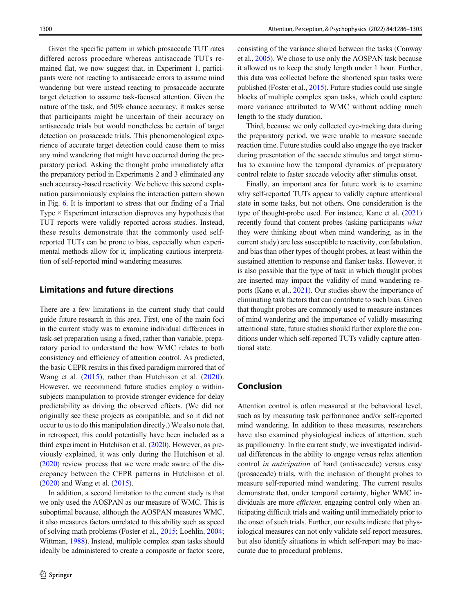Given the specific pattern in which prosaccade TUT rates differed across procedure whereas antisaccade TUTs remained flat, we now suggest that, in Experiment 1, participants were not reacting to antisaccade errors to assume mind wandering but were instead reacting to prosaccade accurate target detection to assume task-focused attention. Given the nature of the task, and 50% chance accuracy, it makes sense that participants might be uncertain of their accuracy on antisaccade trials but would nonetheless be certain of target detection on prosaccade trials. This phenomenological experience of accurate target detection could cause them to miss any mind wandering that might have occurred during the preparatory period. Asking the thought probe immediately after the preparatory period in Experiments 2 and 3 eliminated any such accuracy-based reactivity. We believe this second explanation parsimoniously explains the interaction pattern shown in Fig. [6](#page-13-0). It is important to stress that our finding of a Trial Type  $\times$  Experiment interaction disproves any hypothesis that TUT reports were validly reported across studies. Instead, these results demonstrate that the commonly used selfreported TUTs can be prone to bias, especially when experimental methods allow for it, implicating cautious interpretation of self-reported mind wandering measures.

### Limitations and future directions

There are a few limitations in the current study that could guide future research in this area. First, one of the main foci in the current study was to examine individual differences in task-set preparation using a fixed, rather than variable, preparatory period to understand the how WMC relates to both consistency and efficiency of attention control. As predicted, the basic CEPR results in this fixed paradigm mirrored that of Wang et al. ([2015\)](#page-17-0), rather than Hutchison et al. ([2020](#page-15-0)). However, we recommend future studies employ a withinsubjects manipulation to provide stronger evidence for delay predictability as driving the observed effects. (We did not originally see these projects as compatible, and so it did not occur to us to do this manipulation directly.) We also note that, in retrospect, this could potentially have been included as a third experiment in Hutchison et al. ([2020](#page-15-0)). However, as previously explained, it was only during the Hutchison et al. [\(2020\)](#page-15-0) review process that we were made aware of the discrepancy between the CEPR patterns in Hutchison et al. [\(2020\)](#page-15-0) and Wang et al. ([2015](#page-17-0)).

In addition, a second limitation to the current study is that we only used the AOSPAN as our measure of WMC. This is suboptimal because, although the AOSPAN measures WMC, it also measures factors unrelated to this ability such as speed of solving math problems (Foster et al., [2015;](#page-15-0) Loehlin, [2004](#page-16-0); Wittman, [1988](#page-17-0)). Instead, multiple complex span tasks should ideally be administered to create a composite or factor score, consisting of the variance shared between the tasks (Conway et al., [2005\)](#page-15-0). We chose to use only the AOSPAN task because it allowed us to keep the study length under 1 hour. Further, this data was collected before the shortened span tasks were published (Foster et al., [2015](#page-15-0)). Future studies could use single blocks of multiple complex span tasks, which could capture more variance attributed to WMC without adding much length to the study duration.

Third, because we only collected eye-tracking data during the preparatory period, we were unable to measure saccade reaction time. Future studies could also engage the eye tracker during presentation of the saccade stimulus and target stimulus to examine how the temporal dynamics of preparatory control relate to faster saccade velocity after stimulus onset.

Finally, an important area for future work is to examine why self-reported TUTs appear to validly capture attentional state in some tasks, but not others. One consideration is the type of thought-probe used. For instance, Kane et al. [\(2021](#page-15-0)) recently found that content probes (asking participants what they were thinking about when mind wandering, as in the current study) are less susceptible to reactivity, confabulation, and bias than other types of thought probes, at least within the sustained attention to response and flanker tasks. However, it is also possible that the type of task in which thought probes are inserted may impact the validity of mind wandering reports (Kane et al., [2021](#page-15-0)). Our studies show the importance of eliminating task factors that can contribute to such bias. Given that thought probes are commonly used to measure instances of mind wandering and the importance of validly measuring attentional state, future studies should further explore the conditions under which self-reported TUTs validly capture attentional state.

### Conclusion

Attention control is often measured at the behavioral level, such as by measuring task performance and/or self-reported mind wandering. In addition to these measures, researchers have also examined physiological indices of attention, such as pupillometry. In the current study, we investigated individual differences in the ability to engage versus relax attention control in anticipation of hard (antisaccade) versus easy (prosaccade) trials, with the inclusion of thought probes to measure self-reported mind wandering. The current results demonstrate that, under temporal certainty, higher WMC individuals are more *efficient*, engaging control only when anticipating difficult trials and waiting until immediately prior to the onset of such trials. Further, our results indicate that physiological measures can not only validate self-report measures, but also identify situations in which self-report may be inaccurate due to procedural problems.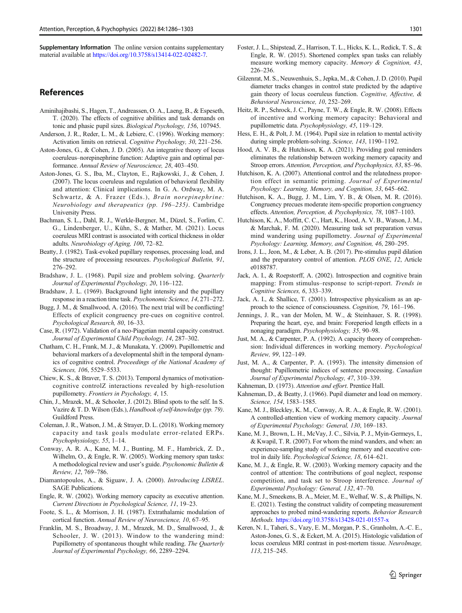<span id="page-15-0"></span>Supplementary Information The online version contains supplementary material available at <https://doi.org/10.3758/s13414-022-02482-7>.

### **References**

- Aminihajibashi, S., Hagen, T., Andreassen, O. A., Laeng, B., & Espeseth, T. (2020). The effects of cognitive abilities and task demands on tonic and phasic pupil sizes. Biological Psychology, 156, 107945.
- Anderson, J. R., Reder, L. M., & Lebiere, C. (1996). Working memory: Activation limits on retrieval. Cognitive Psychology, 30, 221–256.
- Aston-Jones, G., & Cohen, J. D. (2005). An integrative theory of locus coeruleus–norepinephrine function: Adaptive gain and optimal performance. Annual Review of Neuroscience, 28, 403–450.
- Aston-Jones, G. S., Iba, M., Clayton, E., Rajkowski, J., & Cohen, J. (2007). The locus coeruleus and regulation of behavioral flexibility and attention: Clinical implications. In G. A. Ordway, M. A. Schwartz, & A. Frazer (Eds.), Brain norepinephrine: Neurobiology and therapeutics (pp. 196–235). Cambridge University Press.
- Bachman, S. L., Dahl, R. J., Werkle-Bergner, M., Düzel, S., Forlim, C. G., Lindenberger, U., Kühn, S., & Mather, M. (2021). Locus coeruleus MRI contrast is associated with cortical thickness in older adults. Neurobiology of Aging, 100, 72–82.
- Beatty, J. (1982). Task-evoked pupillary responses, processing load, and the structure of processing resources. Psychological Bulletin, 91, 276–292.
- Bradshaw, J. L. (1968). Pupil size and problem solving. Quarterly Journal of Experimental Psychology, 20, 116–122.
- Bradshaw, J. L. (1969). Background light intensity and the pupillary response in a reaction time task. Psychonomic Science, 14, 271–272.
- Bugg, J. M., & Smallwood, A. (2016). The next trial will be conflicting! Effects of explicit congruency pre-cues on cognitive control. Psychological Research, 80, 16–33.
- Case, R. (1972). Validation of a neo-Piagetian mental capacity construct. Journal of Experimental Child Psychology, 14, 287–302.
- Chatham, C. H., Frank, M. J., & Munakata, Y. (2009). Pupillometric and behavioral markers of a developmental shift in the temporal dynamics of cognitive control. Proceedings of the National Academy of Sciences, 106, 5529–5533.
- Chiew, K. S., & Braver, T. S. (2013). Temporal dynamics of motivationcognitive controlZ interactions revealed by high-resolution pupillometry. Frontiers in Psychology, 4, 15.
- Chin, J., Mrazek, M., & Schooler, J. (2012). Blind spots to the self. In S. Vazire & T. D. Wilson (Eds.), Handbook of self-knowledge (pp. 79). Guildford Press.
- Coleman, J. R., Watson, J. M., & Strayer, D. L. (2018). Working memory capacity and task goals modulate error-related ERPs. Psychophysiology, 55, 1–14.
- Conway, A. R. A., Kane, M. J., Bunting, M. F., Hambrick, Z. D., Wilhelm, O., & Engle, R. W. (2005). Working memory span tasks: A methodological review and user's guide. Psychonomic Bulletin & Review, 12, 769–786.
- Diamantopoulos, A., & Siguaw, J. A. (2000). Introducing LISREL. SAGE Publications.
- Engle, R. W. (2002). Working memory capacity as executive attention. Current Directions in Psychological Science, 11, 19–23.
- Foote, S. L., & Morrison, J. H. (1987). Extrathalamic modulation of cortical function. Annual Review of Neuroscience, 10, 67–95.
- Franklin, M. S., Broadway, J. M., Mrazek, M. D., Smallwood, J., & Schooler, J. W. (2013). Window to the wandering mind: Pupillometry of spontaneous thought while reading. The Quarterly Journal of Experimental Psychology, 66, 2289–2294.
- Foster, J. L., Shipstead, Z., Harrison, T. L., Hicks, K. L., Redick, T. S., & Engle, R. W. (2015). Shortened complex span tasks can reliably measure working memory capacity. Memory & Cognition, 43, 226–236.
- Gilzenrat, M. S., Neuwenhuis, S., Jepka, M., & Cohen, J. D. (2010). Pupil diameter tracks changes in control state predicted by the adaptive gain theory of locus coeruleus function. Cognitive, Affective, & Behavioral Neuroscience, 10, 252–269.
- Heitz, R. P., Schrock, J. C., Payne, T. W., & Engle, R. W. (2008). Effects of incentive and working memory capacity: Behavioral and pupillometric data. Psychophysiology, 45, 119–129.
- Hess, E. H., & Polt, J. M. (1964). Pupil size in relation to mental activity during simple problem-solving. Science, 143, 1190–1192.
- Hood, A. V. B., & Hutchison, K. A. (2021). Providing goal reminders eliminates the relationship between working memory capacity and Stroop errors. Attention, Perception, and Psychophysics, 83, 85–96.
- Hutchison, K. A. (2007). Attentional control and the relatedness proportion effect in semantic priming. Journal of Experimental Psychology: Learning, Memory, and Cognition, 33, 645–662.
- Hutchison, K. A., Bugg, J. M., Lim, Y. B., & Olsen, M. R. (2016). Congruency precues moderate item-specific proportion congruency effects. Attention, Perception, & Psychophysics, 78, 1087–1103.
- Hutchison, K. A., Moffitt, C. C., Hart, K., Hood, A. V. B., Watson, J. M., & Marchak, F. M. (2020). Measuring task set preparation versus mind wandering using pupillometry. Journal of Experimental Psychology: Learning, Memory, and Cognition, 46, 280–295.
- Irons, J. L., Jeon, M., & Leber, A. B. (2017). Pre-stimulus pupil dilation and the preparatory control of attention. PLOS ONE, 12, Article e0188787.
- Jack, A. I., & Roepstorff, A. (2002). Introspection and cognitive brain mapping: From stimulus–response to script-report. Trends in Cognitive Sciences, 6, 333–339.
- Jack, A. I., & Shallice, T. (2001). Introspective physicalism as an approach to the science of consciousness. Cognition, 79, 161–196.
- Jennings, J. R., van der Molen, M. W., & Steinhauer, S. R. (1998). Preparing the heart, eye, and brain: Foreperiod length effects in a nonaging paradigm. Psychophysiology, 35, 90–98.
- Just, M. A., & Carpenter, P. A. (1992). A capacity theory of comprehension: Individual differences in working memory. Psychological Review, 99, 122–149.
- Just, M. A., & Carpenter, P. A. (1993). The intensity dimension of thought: Pupillometric indices of sentence processing. Canadian Journal of Experimental Psychology, 47, 310–339.
- Kahneman, D. (1973). Attention and effort. Prentice Hall.
- Kahneman, D., & Beatty, J. (1966). Pupil diameter and load on memory. Science, 154, 1583–1585.
- Kane, M. J., Bleckley, K. M., Conway, A. R. A., & Engle, R. W. (2001). A controlled-attention view of working memory capacity. Journal of Experimental Psychology: General, 130, 169–183.
- Kane, M. J., Brown, L. H., McVay, J. C., Silvia, P. J., Myin-Germeys, I., & Kwapil, T. R. (2007). For whom the mind wanders, and when: an experience-sampling study of working memory and executive control in daily life. Psychological Science, 18, 614–621.
- Kane, M. J., & Engle, R. W. (2003). Working memory capacity and the control of attention: The contributions of goal neglect, response competition, and task set to Stroop interference. Journal of Experimental Psychology: General, 132, 47–70.
- Kane, M. J., Smeekens, B. A., Meier, M. E., Welhaf, W. S., & Phillips, N. E. (2021). Testing the construct validity of competing measurement approaches to probed mind-wandering reports. Behavior Research Methods. <https://doi.org/10.3758/s13428-021-01557-x>
- Keren, N. I., Taheri, S., Vazy, E. M., Morgan, P. S., Granholm, A.-C. E., Aston-Jones, G. S., & Eckert, M. A. (2015). Histologic validation of locus coeruleus MRI contrast in post-mortem tissue. NeuroImage, 113, 215–245.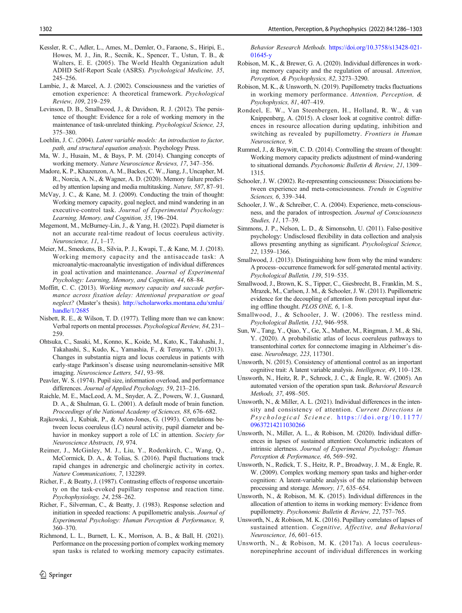- <span id="page-16-0"></span>Kessler, R. C., Adler, L., Ames, M., Demler, O., Faraone, S., Hiripi, E., Howes, M. J., Jin, R., Secnik, K., Spencer, T., Ustun, T. B., & Walters, E. E. (2005). The World Health Organization adult ADHD Self-Report Scale (ASRS). Psychological Medicine, 35, 245–256.
- Lambie, J., & Marcel, A. J. (2002). Consciousness and the varieties of emotion experience: A theoretical framework. Psychological Review, 109, 219–259.
- Levinson, D. B., Smallwood, J., & Davidson, R. J. (2012). The persistence of thought: Evidence for a role of working memory in the maintenance of task-unrelated thinking. Psychological Science, 23, 375–380.
- Loehlin, J. C. (2004). Latent variable models: An introduction to factor, path, and structural equation analysis. Psychology Press.
- Ma, W. J., Husain, M., & Bays, P. M. (2014). Changing concepts of working memory. Nature Neuroscience Reviews, 17, 347–356.
- Madore, K. P., Khazenzon, A. M., Backes, C. W., Jiang, J., Uncapher, M. R., Norcia, A. N., & Wagner, A. D. (2020). Memory failure predicted by attention lapsing and media multitasking. Nature, 587, 87–91.
- McVay, J. C., & Kane, M. J. (2009). Conducting the train of thought: Working memory capacity, goal neglect, and mind wandering in an executive-control task. Journal of Experimental Psychology: Learning, Memory, and Cognition, 35, 196–204.
- Megemont, M., McBurney-Lin, J., & Yang, H. (2022). Pupil diameter is not an accurate real-time readout of locus coeruleus activity. Neuroscience, 11, 1–17.
- Meier, M., Smeekens, B., Silvia, P. J., Kwapi, T., & Kane, M. J. (2018). Working memory capacity and the antisaccade task: A microanalytic-macroanalytic investigation of individual differences in goal activation and maintenance. Journal of Experimental Psychology: Learning, Memory, and Cognition, 44, 68–84.
- Moffitt, C. C. (2013). Working memory capacity and saccade performance across fixation delay: Attentional preparation or goal neglect? (Master's thesis). [http://scholarworks.montana.edu/xmlui/](http://scholarworks.montana.edu/xmlui/handle/1/2685) [handle/1/2685](http://scholarworks.montana.edu/xmlui/handle/1/2685)
- Nisbett, R. E., & Wilson, T. D. (1977). Telling more than we can know: Verbal reports on mental processes. Psychological Review, 84, 231– 259.
- Ohtsuka, C., Sasaki, M., Konno, K., Koide, M., Kato, K., Takahashi, J., Takahashi, S., Kudo, K., Yamashia, F., & Terayama, Y. (2013). Changes in substantia nigra and locus coeruleus in patients with early-stage Parkinson's disease using neuromelanin-sensitive MR imaging. Neuroscience Letters, 541, 93–98.
- Peavler, W. S. (1974). Pupil size, information overload, and performance differences. Journal of Applied Psychology, 59, 213–216.
- Raichle, M. E., MacLeod, A. M., Snyder, A. Z., Powers, W. J., Gusnard, D. A., & Shulman, G. L. (2001). A default mode of brain function. Proceedings of the National Academy of Sciences, 88, 676–682.
- Rajkowski, J., Kubiak, P., & Aston-Jones, G. (1993). Correlations between locus coeruleus (LC) neural activity, pupil diameter and behavior in monkey support a role of LC in attention. Society for Neuroscience Abstracts, 19, 974.
- Reimer, J., McGinley, M. J., Liu, Y., Rodenkirch, C., Wang, Q., McCormick, D. A., & Tolias, S. (2016). Pupil fluctuations track rapid changes in adrenergic and cholinergic activity in cortex. Nature Communications, 7, 132289.
- Richer, F., & Beatty, J. (1987). Contrasting effects of response uncertainty on the task-evoked pupillary response and reaction time. Psychophysiology, 24, 258–262.
- Richer, F., Silverman, C., & Beatty, J. (1983). Response selection and initiation in speeded reactions: A pupillometric analysis. Journal of Experimental Psychology: Human Perception & Performance, 9, 360–370.
- Richmond, L. L., Burnett, L. K., Morrison, A. B., & Ball, H. (2021). Performance on the processing portion of complex working memory span tasks is related to working memory capacity estimates.

Behavior Research Methods. [https://doi.org/10.3758/s13428-021-](https://doi.org/10.3758/s13428-021-01645-y) [01645-y](https://doi.org/10.3758/s13428-021-01645-y)

- Robison, M. K., & Brewer, G. A. (2020). Individual differences in working memory capacity and the regulation of arousal. Attention, Perception, & Psychophysics, 82, 3273–3290.
- Robison, M. K., & Unsworth, N. (2019). Pupillometry tracks fluctuations in working memory performance. Attention, Perception, & Psychophysics, 81, 407–419.
- Rondeel, E. W., Van Steenbergen, H., Holland, R. W., & van Knippenberg, A. (2015). A closer look at cognitive control: differences in resource allocation during updating, inhibition and switching as revealed by pupillometry. Frontiers in Human Neuroscience, 9.
- Rummel, J., & Boywitt, C. D. (2014). Controlling the stream of thought: Working memory capacity predicts adjustment of mind-wandering to situational demands. Psychonomic Bulletin & Review, 21, 1309-1315.
- Schooler, J. W. (2002). Re-representing consciousness: Dissociations between experience and meta-consciousness. Trends in Cognitive Sciences, 6, 339–344.
- Schooler, J. W., & Schreiber, C. A. (2004). Experience, meta-consciousness, and the paradox of introspection. Journal of Consciousness Studies, 11, 17–39.
- Simmons, J. P., Nelson, L. D., & Simonsohn, U. (2011). False-positive psychology: Undisclosed flexibility in data collection and analysis allows presenting anything as significant. Psychological Science, 22, 1359–1366.
- Smallwood, J. (2013). Distinguishing how from why the mind wanders: A process–occurrence framework for self-generated mental activity. Psychological Bulletin, 139, 519–535.
- Smallwood, J., Brown, K. S., Tipper, C., Giesbrecht, B., Franklin, M. S., Mrazek, M., Carlson, J. M., & Schooler, J. W. (2011). Pupillometric evidence for the decoupling of attention from perceptual input during offline thought. PLOS ONE, 6, 1–8.
- Smallwood, J., & Schooler, J. W. (2006). The restless mind. Psychological Bulletin, 132, 946–958.
- Sun, W., Tang, Y., Qiao, Y., Ge, X., Mather, M., Ringman, J. M., & Shi, Y. (2020). A probabilistic atlas of locus coeruleus pathways to transentorhinal cortex for connectome imaging in Alzheimer's disease. NeuroImage, 223, 117301.
- Unsworth, N. (2015). Consistency of attentional control as an important cognitive trait: A latent variable analysis. Intelligence, 49, 110–128.
- Unsworth, N., Heitz, R. P., Schrock, J. C., & Engle, R. W. (2005). An automated version of the operation span task. Behavioral Research Methods, 37, 498–505.
- Unsworth, N., & Miller, A. L. (2021). Individual differences in the intensity and consistency of attention. Current Directions in Psychological Science. [https://doi.org/10.1177/](https://doi.org/10.1177/09637214211030266) [09637214211030266](https://doi.org/10.1177/09637214211030266)
- Unsworth, N., Miller, A. L., & Robison, M. (2020). Individual differences in lapses of sustained attention: Ocolumetric indicators of intrinsic alertness. Journal of Experimental Psychology: Human Perception & Performance, 46, 569–592.
- Unsworth, N., Redick, T. S., Heitz, R. P., Broadway, J. M., & Engle, R. W. (2009). Complex working memory span tasks and higher-order cognition: A latent-variable analysis of the relationship between processing and storage. Memory, 17, 635–654.
- Unsworth, N., & Robison, M. K. (2015). Individual differences in the allocation of attention to items in working memory: Evidence from pupillometry. Psychonomic Bulletin & Review, 22, 757–765.
- Unsworth, N., & Robison, M. K. (2016). Pupillary correlates of lapses of sustained attention. Cognitive, Affective, and Behavioral Neuroscience, 16, 601–615.
- Unsworth, N., & Robison, M. K. (2017a). A locus coeruleusnorepinephrine account of individual differences in working